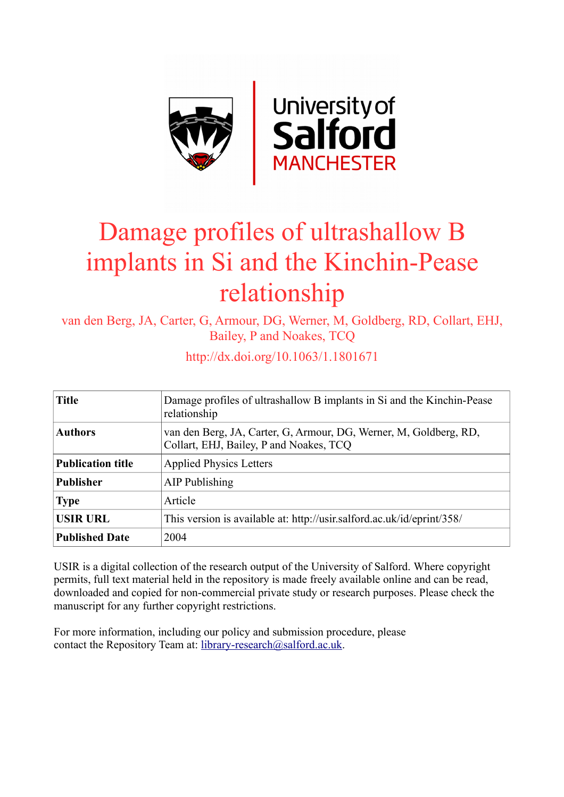

## Damage profiles of ultrashallow B implants in Si and the Kinchin-Pease relationship

van den Berg, JA, Carter, G, Armour, DG, Werner, M, Goldberg, RD, Collart, EHJ, Bailey, P and Noakes, TCQ

| <b>Title</b>          | Damage profiles of ultrashallow B implants in Si and the Kinchin-Pease<br>relationship                       |
|-----------------------|--------------------------------------------------------------------------------------------------------------|
| <b>Authors</b>        | van den Berg, JA, Carter, G, Armour, DG, Werner, M, Goldberg, RD,<br>Collart, EHJ, Bailey, P and Noakes, TCQ |
| Publication title     | <b>Applied Physics Letters</b>                                                                               |
| Publisher             | AIP Publishing                                                                                               |
| <b>Type</b>           | Article                                                                                                      |
| <b>USIR URL</b>       | This version is available at: http://usir.salford.ac.uk/id/eprint/358/                                       |
| <b>Published Date</b> | 2004                                                                                                         |

http://dx.doi.org/10.1063/1.1801671

USIR is a digital collection of the research output of the University of Salford. Where copyright permits, full text material held in the repository is made freely available online and can be read, downloaded and copied for non-commercial private study or research purposes. Please check the manuscript for any further copyright restrictions.

For more information, including our policy and submission procedure, please contact the Repository Team at: [library-research@salford.ac.uk.](mailto:library-research@salford.ac.uk)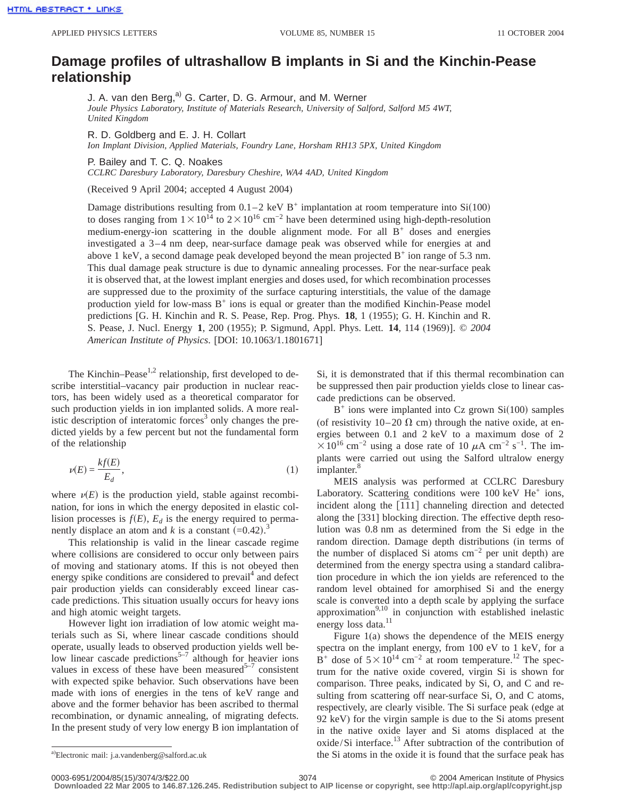## **Damage profiles of ultrashallow B implants in Si and the Kinchin-Pease relationship**

J. A. van den Berg,<sup>a)</sup> G. Carter, D. G. Armour, and M. Werner

*Joule Physics Laboratory, Institute of Materials Research, University of Salford, Salford M5 4WT, United Kingdom*

R. D. Goldberg and E. J. H. Collart *Ion Implant Division, Applied Materials, Foundry Lane, Horsham RH13 5PX, United Kingdom*

P. Bailey and T. C. Q. Noakes

*CCLRC Daresbury Laboratory, Daresbury Cheshire, WA4 4AD, United Kingdom*

(Received 9 April 2004; accepted 4 August 2004)

Damage distributions resulting from  $0.1-2$  keV B<sup>+</sup> implantation at room temperature into Si(100) to doses ranging from  $1 \times 10^{14}$  to  $2 \times 10^{16}$  cm<sup>-2</sup> have been determined using high-depth-resolution medium-energy-ion scattering in the double alignment mode. For all  $B<sup>+</sup>$  doses and energies investigated a 3–4 nm deep, near-surface damage peak was observed while for energies at and above 1 keV, a second damage peak developed beyond the mean projected  $B^+$  ion range of 5.3 nm. This dual damage peak structure is due to dynamic annealing processes. For the near-surface peak it is observed that, at the lowest implant energies and doses used, for which recombination processes are suppressed due to the proximity of the surface capturing interstitials, the value of the damage production yield for low-mass  $B^+$  ions is equal or greater than the modified Kinchin-Pease model predictions [G. H. Kinchin and R. S. Pease, Rep. Prog. Phys. **18**, 1 (1955); G. H. Kinchin and R. S. Pease, J. Nucl. Energy **1**, 200 (1955); P. Sigmund, Appl. Phys. Lett. **14**, 114 (1969)]. © *2004 American Institute of Physics*. [DOI: 10.1063/1.1801671]

The Kinchin–Pease<sup>1,2</sup> relationship, first developed to describe interstitial–vacancy pair production in nuclear reactors, has been widely used as a theoretical comparator for such production yields in ion implanted solids. A more realistic description of interatomic forces<sup>3</sup> only changes the predicted yields by a few percent but not the fundamental form of the relationship

$$
\nu(E) = \frac{k f(E)}{E_d},\tag{1}
$$

where  $\nu(E)$  is the production yield, stable against recombination, for ions in which the energy deposited in elastic collision processes is  $f(E)$ ,  $E_d$  is the energy required to permanently displace an atom and *k* is a constant  $(=0.42)$ .<sup>3</sup>

This relationship is valid in the linear cascade regime where collisions are considered to occur only between pairs of moving and stationary atoms. If this is not obeyed then energy spike conditions are considered to prevail<sup>4</sup> and defect pair production yields can considerably exceed linear cascade predictions. This situation usually occurs for heavy ions and high atomic weight targets.

However light ion irradiation of low atomic weight materials such as Si, where linear cascade conditions should operate, usually leads to observed production yields well below linear cascade predictions<sup>5-7</sup> although for heavier ions values in excess of these have been measured $5^{-7}$  consistent with expected spike behavior. Such observations have been made with ions of energies in the tens of keV range and above and the former behavior has been ascribed to thermal recombination, or dynamic annealing, of migrating defects. In the present study of very low energy B ion implantation of Si, it is demonstrated that if this thermal recombination can be suppressed then pair production yields close to linear cascade predictions can be observed.

 $B^+$  ions were implanted into Cz grown Si $(100)$  samples (of resistivity  $10-20 \Omega$  cm) through the native oxide, at energies between 0.1 and 2 keV to a maximum dose of 2  $\times$ 10<sup>16</sup> cm<sup>-2</sup> using a dose rate of 10  $\mu$ A cm<sup>-2</sup> s<sup>-1</sup>. The implants were carried out using the Salford ultralow energy implanter.<sup>8</sup>

MEIS analysis was performed at CCLRC Daresbury Laboratory. Scattering conditions were  $100 \text{ keV He}^+$  ions, incident along the  $[111]$  channeling direction and detected along the [331] blocking direction. The effective depth resolution was 0.8 nm as determined from the Si edge in the random direction. Damage depth distributions (in terms of the number of displaced Si atoms cm−2 per unit depth) are determined from the energy spectra using a standard calibration procedure in which the ion yields are referenced to the random level obtained for amorphised Si and the energy scale is converted into a depth scale by applying the surface approximation $9,10$  in conjunction with established inelastic energy loss data.<sup>11</sup>

Figure 1(a) shows the dependence of the MEIS energy spectra on the implant energy, from 100 eV to 1 keV, for a B<sup>+</sup> dose of  $5 \times 10^{14}$  cm<sup>-2</sup> at room temperature.<sup>12</sup> The spectrum for the native oxide covered, virgin Si is shown for comparison. Three peaks, indicated by Si, O, and C and resulting from scattering off near-surface Si, O, and C atoms, respectively, are clearly visible. The Si surface peak (edge at 92 keV) for the virgin sample is due to the Si atoms present in the native oxide layer and Si atoms displaced at the oxide/Si interface.<sup>13</sup> After subtraction of the contribution of the Si atoms in the oxide it is found that the surface peak has

<sup>&</sup>lt;sup>a)</sup>Electronic mail: j.a.vandenberg@salford.ac.uk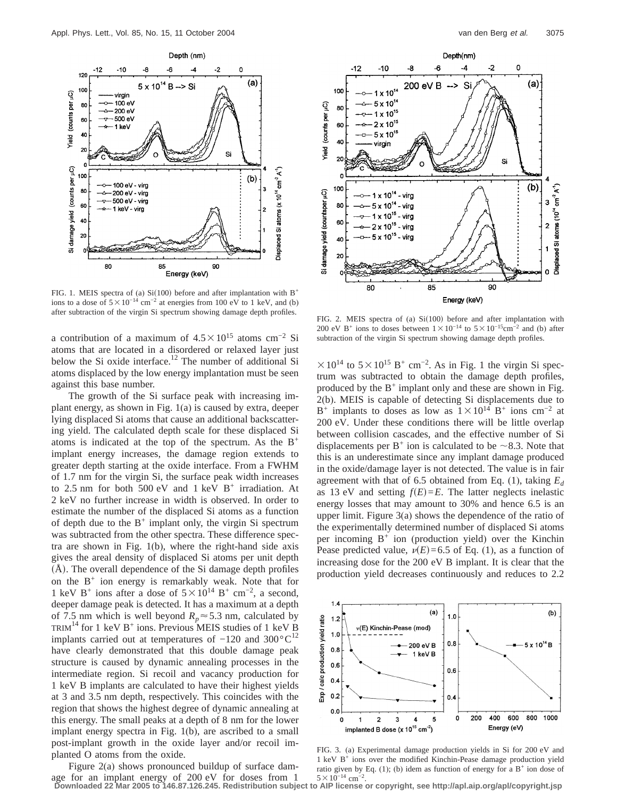

FIG. 1. MEIS spectra of (a) Si(100) before and after implantation with  $B^+$ ions to a dose of  $5 \times 10^{-14}$  cm<sup>-2</sup> at energies from 100 eV to 1 keV, and (b) after subtraction of the virgin Si spectrum showing damage depth profiles.<br>FIG. 2. MEIS spectra of (a) Si(100) before and after implantation with

a contribution of a maximum of  $4.5 \times 10^{15}$  atoms cm<sup>-2</sup> Si atoms that are located in a disordered or relaxed layer just below the Si oxide interface.<sup>12</sup> The number of additional Si atoms displaced by the low energy implantation must be seen against this base number.

The growth of the Si surface peak with increasing implant energy, as shown in Fig. 1(a) is caused by extra, deeper lying displaced Si atoms that cause an additional backscattering yield. The calculated depth scale for these displaced Si atoms is indicated at the top of the spectrum. As the  $B^+$ implant energy increases, the damage region extends to greater depth starting at the oxide interface. From a FWHM of 1.7 nm for the virgin Si, the surface peak width increases to 2.5 nm for both 500 eV and 1 keV  $B^+$  irradiation. At 2 keV no further increase in width is observed. In order to estimate the number of the displaced Si atoms as a function of depth due to the  $B^+$  implant only, the virgin Si spectrum was subtracted from the other spectra. These difference spectra are shown in Fig. 1(b), where the right-hand side axis gives the areal density of displaced Si atoms per unit depth  $(A)$ . The overall dependence of the Si damage depth profiles on the  $B^+$  ion energy is remarkably weak. Note that for 1 keV B<sup>+</sup> ions after a dose of  $5 \times 10^{14}$  B<sup>+</sup> cm<sup>-2</sup>, a second, deeper damage peak is detected. It has a maximum at a depth of 7.5 nm which is well beyond  $R_p \approx 5.3$  nm, calculated by TRIM<sup>14</sup> for 1 keV B<sup>+</sup> ions. Previous MEIS studies of 1 keV B implants carried out at temperatures of  $-120$  and  $300^{\circ}C^{12}$ have clearly demonstrated that this double damage peak structure is caused by dynamic annealing processes in the intermediate region. Si recoil and vacancy production for 1 keV B implants are calculated to have their highest yields at 3 and 3.5 nm depth, respectively. This coincides with the region that shows the highest degree of dynamic annealing at this energy. The small peaks at a depth of 8 nm for the lower implant energy spectra in Fig. 1(b), are ascribed to a small post-implant growth in the oxide layer and/or recoil implanted O atoms from the oxide.

Figure 2(a) shows pronounced buildup of surface damage for an implant energy of 200 eV for doses from 1



200 eV B<sup>+</sup> ions to doses between  $1 \times 10^{-14}$  to  $5 \times 10^{-15}$ cm<sup>-2</sup> and (b) after subtraction of the virgin Si spectrum showing damage depth profiles.

 $\times$  10<sup>14</sup> to 5  $\times$  10<sup>15</sup> B<sup>+</sup> cm<sup>-2</sup>. As in Fig. 1 the virgin Si spectrum was subtracted to obtain the damage depth profiles, produced by the  $B^+$  implant only and these are shown in Fig. 2(b). MEIS is capable of detecting Si displacements due to B<sup>+</sup> implants to doses as low as  $1\times10^{14}$  B<sup>+</sup> ions cm<sup>-2</sup> at 200 eV. Under these conditions there will be little overlap between collision cascades, and the effective number of Si displacements per  $B^+$  ion is calculated to be  $\sim$ 8.3. Note that this is an underestimate since any implant damage produced in the oxide/damage layer is not detected. The value is in fair agreement with that of 6.5 obtained from Eq. (1), taking  $E_d$ as 13 eV and setting  $f(E) = E$ . The latter neglects inelastic energy losses that may amount to 30% and hence 6.5 is an upper limit. Figure 3(a) shows the dependence of the ratio of the experimentally determined number of displaced Si atoms per incoming  $B^+$  ion (production yield) over the Kinchin Pease predicted value,  $\nu(E) = 6.5$  of Eq. (1), as a function of increasing dose for the 200 eV B implant. It is clear that the production yield decreases continuously and reduces to 2.2



FIG. 3. (a) Experimental damage production yields in Si for 200 eV and 1 keV B<sup>+</sup> ions over the modified Kinchin-Pease damage production yield ratio given by Eq. (1); (b) idem as function of energy for a  $B^+$  ion dose of  $5 \times 10^{-14}$  cm<sup>-2</sup>.

**Downloaded 22 Mar 2005 to 146.87.126.245. Redistribution subject to AIP license or copyright, see http://apl.aip.org/apl/copyright.jsp**